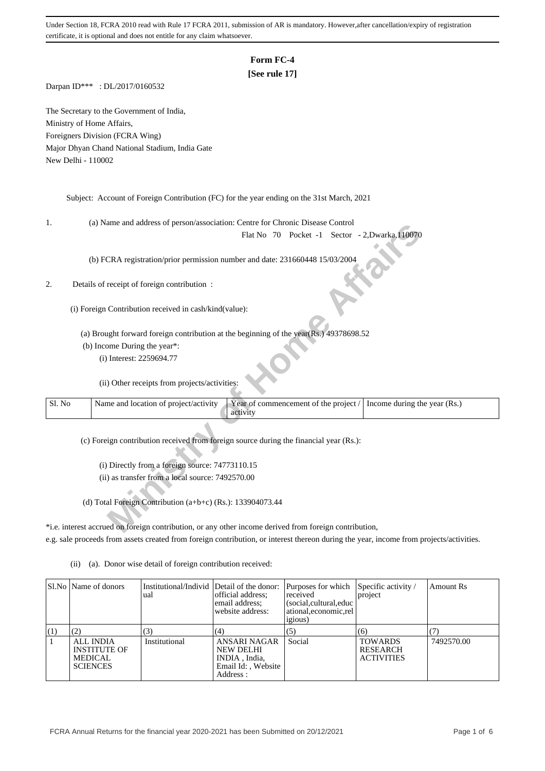# **Form FC-4**

## **[See rule 17]**

Darpan ID\*\*\* : DL/2017/0160532

The Secretary to the Government of India, Ministry of Home Affairs, Foreigners Division (FCRA Wing) Major Dhyan Chand National Stadium, India Gate New Delhi - 110002

Subject: Account of Foreign Contribution (FC) for the year ending on the 31st March, 2021

1. (a) Name and address of person/association: Centre for Chronic Disease Control

### 2. Details of receipt of foreign contribution :

| ı.     | (a) ivalue and address of person/association. Centre for Chronic Disease Control                                           |
|--------|----------------------------------------------------------------------------------------------------------------------------|
|        | Flat No 70 Pocket -1 Sector - 2, Dwarka, 110070                                                                            |
|        |                                                                                                                            |
|        | (b) FCRA registration/prior permission number and date: 231660448 15/03/2004                                               |
|        |                                                                                                                            |
|        | Details of receipt of foreign contribution :                                                                               |
|        |                                                                                                                            |
|        | (i) Foreign Contribution received in cash/kind(value):                                                                     |
|        |                                                                                                                            |
|        | (a) Brought forward foreign contribution at the beginning of the year(Rs.) 49378698.52                                     |
|        | (b) Income During the year*:                                                                                               |
|        | (i) Interest: 2259694.77                                                                                                   |
|        |                                                                                                                            |
|        | (ii) Other receipts from projects/activities:                                                                              |
|        |                                                                                                                            |
| Sl. No | Name and location of project/activity<br>Year of commencement of the project /<br>Income during the year (Rs.)<br>activity |
|        |                                                                                                                            |
|        | (c) Foreign contribution received from foreign source during the financial year (Rs.):                                     |
|        |                                                                                                                            |
|        | (i) Directly from a foreign source: 74773110.15                                                                            |
|        | (ii) as transfer from a local source: 7492570.00                                                                           |
|        |                                                                                                                            |
|        | (d) Total Foreign Contribution (a+b+c) (Rs.): 133904073.44                                                                 |
|        |                                                                                                                            |
|        | *i.e. interest accrued on foreign contribution, or any other income derived from foreign contribution,                     |
|        |                                                                                                                            |

\*i.e. interest accrued on foreign contribution, or any other income derived from foreign contribution, e.g. sale proceeds from assets created from foreign contribution, or interest thereon during the year, income from projects/activities.

|     | SI.No   Name of donors                                                       | Institutional/Individ Detail of the donor:<br>ual | official address:<br>email address:<br>website address:                              | Purposes for which Specific activity /<br>received<br>social, cultural, educ<br>ational.economic.rel<br><i>igious</i> ) | project                                                | Amount Rs  |
|-----|------------------------------------------------------------------------------|---------------------------------------------------|--------------------------------------------------------------------------------------|-------------------------------------------------------------------------------------------------------------------------|--------------------------------------------------------|------------|
| (1) |                                                                              |                                                   | (4)                                                                                  | (5)                                                                                                                     | (6)                                                    |            |
|     | <b>ALL INDIA</b><br><b>INSTITUTE OF</b><br><b>MEDICAL</b><br><b>SCIENCES</b> | Institutional                                     | ANSARI NAGAR<br><b>NEW DELHI</b><br>INDIA, India,<br>Email Id:, Website<br>Address : | Social                                                                                                                  | <b>TOWARDS</b><br><b>RESEARCH</b><br><b>ACTIVITIES</b> | 7492570.00 |

(ii) (a). Donor wise detail of foreign contribution received: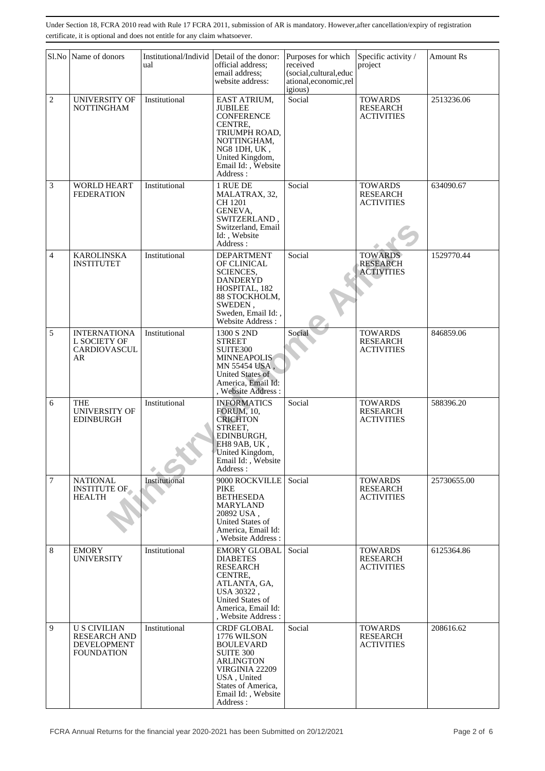|                | Sl.No Name of donors                                                                  | Institutional/Individ<br>ual | Detail of the donor:<br>official address;<br>email address;<br>website address:                                                                                                 | Purposes for which<br>received<br>(social,cultural,educ<br>ational,economic,rel<br>igious) | Specific activity /<br>project                         | <b>Amount Rs</b> |
|----------------|---------------------------------------------------------------------------------------|------------------------------|---------------------------------------------------------------------------------------------------------------------------------------------------------------------------------|--------------------------------------------------------------------------------------------|--------------------------------------------------------|------------------|
| $\overline{c}$ | <b>UNIVERSITY OF</b><br><b>NOTTINGHAM</b>                                             | Institutional                | EAST ATRIUM,<br><b>JUBILEE</b><br><b>CONFERENCE</b><br>CENTRE,<br>TRIUMPH ROAD,<br>NOTTINGHAM,<br>NG8 1DH, UK,<br>United Kingdom,<br>Email Id:, Website<br>Address:             | Social                                                                                     | <b>TOWARDS</b><br><b>RESEARCH</b><br><b>ACTIVITIES</b> | 2513236.06       |
| 3              | <b>WORLD HEART</b><br><b>FEDERATION</b>                                               | Institutional                | 1 RUE DE<br>MALATRAX, 32,<br>CH 1201<br>GENEVA,<br>SWITZERLAND,<br>Switzerland, Email<br>Id:, Website<br>Address:                                                               | Social                                                                                     | <b>TOWARDS</b><br><b>RESEARCH</b><br><b>ACTIVITIES</b> | 634090.67        |
| 4              | <b>KAROLINSKA</b><br><b>INSTITUTET</b>                                                | Institutional                | <b>DEPARTMENT</b><br>OF CLINICAL<br><b>SCIENCES,</b><br><b>DANDERYD</b><br>HOSPITAL, 182<br>88 STOCKHOLM,<br>SWEDEN,<br>Sweden, Email Id:,<br>Website Address:                  | Social                                                                                     | <b>TOWARDS</b><br><b>RESEARCH</b><br><b>ACTIVITIES</b> | 1529770.44       |
| 5              | <b>INTERNATIONA</b><br>L SOCIETY OF<br>CARDIOVASCUL<br>AR                             | Institutional                | 1300 S 2ND<br><b>STREET</b><br>SUITE300<br><b>MINNEAPOLIS</b><br>MN 55454 USA.<br>United States of<br>America, Email Id:<br>, Website Address :                                 | Social                                                                                     | <b>TOWARDS</b><br><b>RESEARCH</b><br><b>ACTIVITIES</b> | 846859.06        |
| 6              | <b>THE</b><br><b>UNIVERSITY OF</b><br>EDINBURGH                                       | Institutional                | <b>INFORMATICS</b><br><b>FORUM</b> , 10,<br><b>CRICHTON</b><br>STREET,<br>EDINBURGH,<br>EH8 9AB, UK,<br>United Kingdom<br>Email Id:, Website<br>Address:                        | Social                                                                                     | <b>TOWARDS</b><br><b>RESEARCH</b><br><b>ACTIVITIES</b> | 588396.20        |
| 7              | <b>NATIONAL</b><br><b>INSTITUTE OF</b><br><b>HEALTH</b>                               | Institutional                | 9000 ROCKVILLE<br>PIKE<br><b>BETHESEDA</b><br><b>MARYLAND</b><br>20892 USA,<br>United States of<br>America, Email Id:<br>, Website Address:                                     | Social                                                                                     | <b>TOWARDS</b><br><b>RESEARCH</b><br><b>ACTIVITIES</b> | 25730655.00      |
| 8              | <b>EMORY</b><br><b>UNIVERSITY</b>                                                     | Institutional                | <b>EMORY GLOBAL</b><br><b>DIABETES</b><br><b>RESEARCH</b><br>CENTRE,<br>ATLANTA, GA,<br>USA 30322,<br>United States of<br>America, Email Id:<br>, Website Address:              | Social                                                                                     | <b>TOWARDS</b><br><b>RESEARCH</b><br><b>ACTIVITIES</b> | 6125364.86       |
| 9              | <b>U S CIVILIAN</b><br><b>RESEARCH AND</b><br><b>DEVELOPMENT</b><br><b>FOUNDATION</b> | Institutional                | <b>CRDF GLOBAL</b><br>1776 WILSON<br><b>BOULEVARD</b><br><b>SUITE 300</b><br>ARLINGTON<br>VIRGINIA 22209<br>USA, United<br>States of America,<br>Email Id:, Website<br>Address: | Social                                                                                     | <b>TOWARDS</b><br><b>RESEARCH</b><br><b>ACTIVITIES</b> | 208616.62        |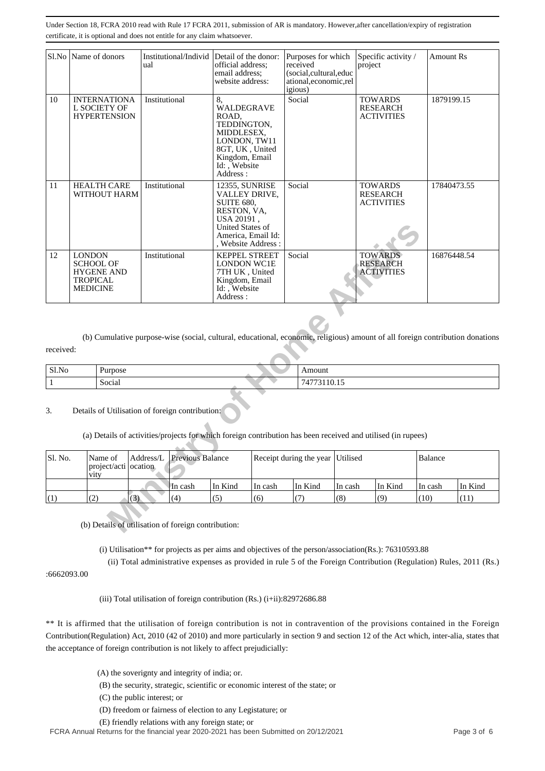| S1.No                                                     | Name of donors                                                                                                |                                                            | ual                                                                                                                             | Institutional/Individ Detail of the donor:                                                           | official address;<br>email address;<br>website address:                                                                                                    |         | Purposes for which<br>received<br>(social,cultural,educ<br>ational,economic,rel<br>igious)                                    |                                                        | Specific activity /<br>project                         |             | Amount Rs  |         |
|-----------------------------------------------------------|---------------------------------------------------------------------------------------------------------------|------------------------------------------------------------|---------------------------------------------------------------------------------------------------------------------------------|------------------------------------------------------------------------------------------------------|------------------------------------------------------------------------------------------------------------------------------------------------------------|---------|-------------------------------------------------------------------------------------------------------------------------------|--------------------------------------------------------|--------------------------------------------------------|-------------|------------|---------|
| 10                                                        |                                                                                                               | <b>INTERNATIONA</b><br>L SOCIETY OF<br><b>HYPERTENSION</b> | Institutional                                                                                                                   |                                                                                                      | 8,<br>WALDEGRAVE<br>ROAD,<br>TEDDINGTON,<br>MIDDLESEX,<br>LONDON, TW11<br>8GT, UK, United<br>Kingdom, Email<br>Id: , Website<br>Address:<br>12355, SUNRISE |         | Social                                                                                                                        |                                                        | <b>TOWARDS</b><br><b>RESEARCH</b><br><b>ACTIVITIES</b> |             | 1879199.15 |         |
| Institutional<br>11<br><b>HEALTH CARE</b><br>WITHOUT HARM |                                                                                                               |                                                            | VALLEY DRIVE,<br><b>SUITE 680,</b><br>RESTON, VA,<br>USA 20191,<br>United States of<br>America, Email Id:<br>, Website Address: |                                                                                                      | Social                                                                                                                                                     |         | <b>TOWARDS</b><br><b>RESEARCH</b><br><b>ACTIVITIES</b>                                                                        |                                                        | 17840473.55                                            |             |            |         |
| 12                                                        | <b>LONDON</b><br>Institutional<br><b>SCHOOL OF</b><br><b>HYGENE AND</b><br><b>TROPICAL</b><br><b>MEDICINE</b> |                                                            |                                                                                                                                 | <b>KEPPEL STREET</b><br>LONDON WC1E<br>7TH UK, United<br>Kingdom, Email<br>Id: , Website<br>Address: |                                                                                                                                                            | Social  |                                                                                                                               | <b>TOWARDS</b><br><b>RESEARCH</b><br><b>ACTIVITIES</b> |                                                        | 16876448.54 |            |         |
| received:                                                 |                                                                                                               |                                                            |                                                                                                                                 |                                                                                                      |                                                                                                                                                            |         | (b) Cumulative purpose-wise (social, cultural, educational, economic, religious) amount of all foreign contribution donations |                                                        |                                                        |             |            |         |
| Sl.No                                                     |                                                                                                               | Purpose                                                    |                                                                                                                                 |                                                                                                      |                                                                                                                                                            |         | Amount                                                                                                                        |                                                        |                                                        |             |            |         |
| $\,1$                                                     |                                                                                                               | Social                                                     |                                                                                                                                 |                                                                                                      |                                                                                                                                                            |         | 74773110.15                                                                                                                   |                                                        |                                                        |             |            |         |
| 3.                                                        |                                                                                                               |                                                            |                                                                                                                                 | Details of Utilisation of foreign contribution:                                                      |                                                                                                                                                            |         | (a) Details of activities/projects for which foreign contribution has been received and utilised (in rupees)                  |                                                        |                                                        |             |            |         |
| Sl. No.                                                   | vity                                                                                                          | Name of<br>project/acti   ocation                          | $\mathbf{Address}/\mathbf{L}$                                                                                                   | <b>Previous Balance</b>                                                                              |                                                                                                                                                            |         | Receipt during the year Utilised                                                                                              |                                                        |                                                        |             | Balance    |         |
|                                                           |                                                                                                               |                                                            |                                                                                                                                 | In cash                                                                                              | In Kind                                                                                                                                                    | In cash | In Kind                                                                                                                       | In cash                                                |                                                        | In Kind     | In cash    | In Kind |
| (1)                                                       | (2)                                                                                                           |                                                            | (3)                                                                                                                             | (4)                                                                                                  | (5)                                                                                                                                                        | (6)     | (7)                                                                                                                           | (8)                                                    | (9)                                                    |             | (10)       | (11)    |
|                                                           |                                                                                                               |                                                            |                                                                                                                                 | (b) Details of utilisation of foreign contribution:                                                  |                                                                                                                                                            |         |                                                                                                                               |                                                        |                                                        |             |            |         |

| Sl.No<br>$- - - -$ | Purpose<br>. | mount |
|--------------------|--------------|-------|
|                    | Social       |       |

## 3. Details of Utilisation of foreign contribution:

| Sl. No. | Name of<br>project/acti ocation<br><b>V1tV</b> |     | Address/L Previous Balance |         |         | Receipt during the year Utilised |         | Balance |         |         |
|---------|------------------------------------------------|-----|----------------------------|---------|---------|----------------------------------|---------|---------|---------|---------|
|         |                                                |     | In cash                    | In Kind | In cash | In Kind                          | In cash | In Kind | In cash | In Kind |
| (1)     | (2)                                            | (3) | (4)                        | (5)     | (6)     |                                  | (8)     | (9)     | (10)    |         |

(i) Utilisation\*\* for projects as per aims and objectives of the person/association(Rs.): 76310593.88

(ii) Total administrative expenses as provided in rule 5 of the Foreign Contribution (Regulation) Rules, 2011 (Rs.)

:6662093.00

(iii) Total utilisation of foreign contribution (Rs.) (i+ii):82972686.88

\*\* It is affirmed that the utilisation of foreign contribution is not in contravention of the provisions contained in the Foreign Contribution(Regulation) Act, 2010 (42 of 2010) and more particularly in section 9 and section 12 of the Act which, inter-alia, states that the acceptance of foreign contribution is not likely to affect prejudicially:

- (A) the soverignty and integrity of india; or.
- (B) the security, strategic, scientific or economic interest of the state; or
- (C) the public interest; or
- (D) freedom or fairness of election to any Legistature; or

(E) friendly relations with any foreign state; or

FCRA Annual Returns for the financial year 2020-2021 has been Submitted on 20/12/2021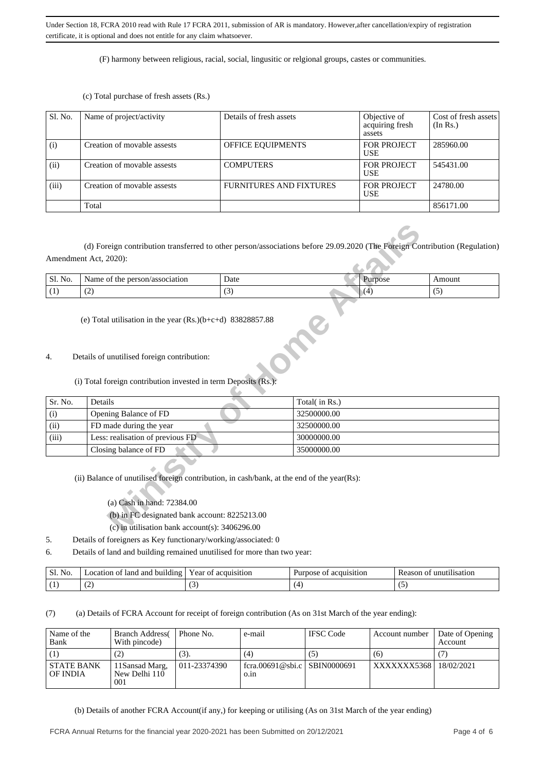(F) harmony between religious, racial, social, lingusitic or relgional groups, castes or communities.

(c) Total purchase of fresh assets (Rs.)

| Sl. No. | Name of project/activity    | Details of fresh assets | Objective of<br>acquiring fresh<br>assets | Cost of fresh assets<br>(In Rs.) |
|---------|-----------------------------|-------------------------|-------------------------------------------|----------------------------------|
| (i)     | Creation of movable assests | OFFICE EQUIPMENTS       | FOR PROJECT<br><b>USE</b>                 | 285960.00                        |
| (ii)    | Creation of movable assests | <b>COMPUTERS</b>        | FOR PROJECT<br><b>USE</b>                 | 545431.00                        |
| (iii)   | Creation of movable assests | FURNITURES AND FIXTURES | FOR PROJECT<br>USE                        | 24780.00                         |
|         | Total                       |                         |                                           | 856171.00                        |

| Sl. No. | Name of the person/association                                       | Date | Purpose | Amount |
|---------|----------------------------------------------------------------------|------|---------|--------|
| (1)     | (2)                                                                  | (3)  | (4)     | (5)    |
|         | (e) Total utilisation in the year $(Rs.(b+c+d) 83828857.88)$         |      |         |        |
| 4.      | Details of unutilised foreign contribution:                          |      |         |        |
|         | $(i)$ Total foreign contribution invested in term Deposite $(D_5)$ . |      |         |        |

- 4. Details of unutilised foreign contribution:
	- (i) Total foreign contribution invested in term Deposits (Rs.):

| Sl. No. | Name of the person/association                                                                              | Date | Purpose       | Amount |
|---------|-------------------------------------------------------------------------------------------------------------|------|---------------|--------|
| (1)     | (2)                                                                                                         | (3)  | (4)           | (5)    |
| 4.      | (e) Total utilisation in the year $(Rs.)(b+c+d)$ 83828857.88<br>Details of unutilised foreign contribution: |      |               |        |
| Sr. No. | (i) Total foreign contribution invested in term Deposits (Rs.):<br>Details                                  |      | Total(in Rs.) |        |
| (i)     | Opening Balance of FD                                                                                       |      | 32500000.00   |        |
| (ii)    | FD made during the year                                                                                     |      | 32500000.00   |        |
| (iii)   | Less: realisation of previous FD                                                                            |      | 30000000.00   |        |
|         | Closing balance of FD                                                                                       |      | 35000000.00   |        |
|         | (ii) Balance of unutilised foreign contribution, in cash/bank, at the end of the year(Rs):                  |      |               |        |
|         | (a) Cash in hand: 72384.00                                                                                  |      |               |        |
|         | (b) in FC designated bank account: 8225213.00                                                               |      |               |        |
|         | (c) in utilisation bank account(s): $3406296.00$                                                            |      |               |        |

- (a) Cash in hand: 72384.00
- (b) in FC designated bank account: 8225213.00
- (c) in utilisation bank account(s): 3406296.00
- 5. Details of foreigners as Key functionary/working/associated: 0
- 6. Details of land and building remained unutilised for more than two year:

| N <sub>O</sub><br>٦υ | -land<br>anc<br>ocation<br>building<br>ОŤ<br>$\overline{\phantom{0}}$ | ear<br>cauisition^<br>01<br>ac     | acquisition<br>ose | unutilisation<br>son<br>ΩT |
|----------------------|-----------------------------------------------------------------------|------------------------------------|--------------------|----------------------------|
| $\cdot$ 1            | $\overline{\phantom{a}}$<br>. <u>. .</u>                              | $\overline{\phantom{a}}$<br>$\sim$ |                    | ື                          |

(7) (a) Details of FCRA Account for receipt of foreign contribution (As on 31st March of the year ending):

| Name of the<br>Bank           | <b>Branch Address</b><br>With pincode) | Phone No.    | e-mail                               | <b>IFSC</b> Code | Account number         | Date of Opening<br>Account |
|-------------------------------|----------------------------------------|--------------|--------------------------------------|------------------|------------------------|----------------------------|
|                               |                                        | (3).         | (4)                                  | (5)              | (6)                    |                            |
| <b>STATE BANK</b><br>OF INDIA | 11Sansad Marg.<br>New Delhi 110<br>001 | 011-23374390 | fcra.00691@sbi.c SBIN0000691<br>0.1n |                  | XXXXXXX5368 18/02/2021 |                            |

(b) Details of another FCRA Account(if any,) for keeping or utilising (As on 31st March of the year ending)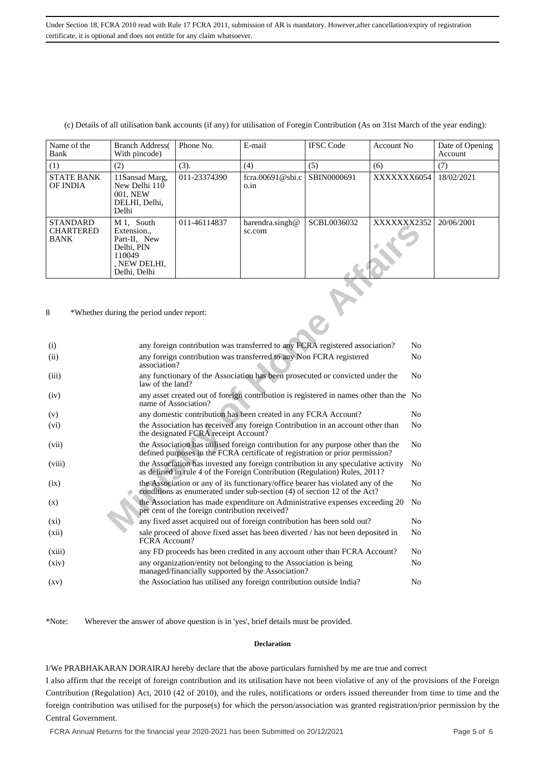| Name of the<br>Bank                                | <b>Branch Address</b><br>With pincode)                                                            | Phone No.    | E-mail                       | <b>IFSC</b> Code | Account No. | Date of Opening<br>Account |
|----------------------------------------------------|---------------------------------------------------------------------------------------------------|--------------|------------------------------|------------------|-------------|----------------------------|
| (1)                                                | (2)                                                                                               | (3).         | (4)                          | (5)              | (6)         | (7)                        |
| <b>STATE BANK</b><br>OF INDIA                      | 11Sansad Marg,<br>New Delhi 110<br>001. NEW<br>DELHI, Delhi,<br>Delhi                             | 011-23374390 | fcra.00691@sbi.c<br>o.in     | SBIN0000691      | XXXXXXX6054 | 18/02/2021                 |
| <b>STANDARD</b><br><b>CHARTERED</b><br><b>BANK</b> | M 1, South<br>Extension.,<br>Part-II, New<br>Delhi. PIN<br>110049<br>. NEW DELHI.<br>Delhi, Delhi | 011-46114837 | harendra.singh $@$<br>sc.com | SCBL0036032      | XXXXXXX2352 | 20/06/2001                 |

(c) Details of all utilisation bank accounts (if any) for utilisation of Foregin Contribution (As on 31st March of the year ending):

| $M_1$ , bouth<br>Extension.,<br>Part-II, New<br>Delhi, PIN<br>110049<br>, NEW DELHI,<br>Delhi, Delhi |                                                                                                                                                                                     | sc.com                                   |  | ΛΛΛΛΛΛΔΣΟ                                                                                                         |                                                                              |
|------------------------------------------------------------------------------------------------------|-------------------------------------------------------------------------------------------------------------------------------------------------------------------------------------|------------------------------------------|--|-------------------------------------------------------------------------------------------------------------------|------------------------------------------------------------------------------|
|                                                                                                      |                                                                                                                                                                                     |                                          |  |                                                                                                                   |                                                                              |
|                                                                                                      |                                                                                                                                                                                     |                                          |  |                                                                                                                   | N <sub>0</sub>                                                               |
|                                                                                                      | any foreign contribution was transferred to any Non FCRA registered<br>association?                                                                                                 |                                          |  |                                                                                                                   | No                                                                           |
|                                                                                                      | any functionary of the Association has been prosecuted or convicted under the<br>N <sub>0</sub><br>law of the land?                                                                 |                                          |  |                                                                                                                   |                                                                              |
|                                                                                                      | any asset created out of foreign contribution is registered in names other than the No<br>name of Association?                                                                      |                                          |  |                                                                                                                   |                                                                              |
|                                                                                                      | any domestic contribution has been created in any FCRA Account?                                                                                                                     |                                          |  |                                                                                                                   |                                                                              |
|                                                                                                      | the Association has received any foreign Contribution in an account other than<br>the designated FCRA receipt Account?                                                              |                                          |  |                                                                                                                   | N <sub>0</sub>                                                               |
|                                                                                                      | the Association has utilised foreign contribution for any purpose other than the<br>N <sub>0</sub><br>defined purposes in the FCRA certificate of registration or prior permission? |                                          |  |                                                                                                                   |                                                                              |
|                                                                                                      | the Association has invested any foreign contribution in any speculative activity<br>N <sub>0</sub><br>as defined in rule 4 of the Foreign Contribution (Regulation) Rules, 2011?   |                                          |  |                                                                                                                   |                                                                              |
|                                                                                                      | the Association or any of its functionary/office bearer has violated any of the<br>conditions as enumerated under sub-section (4) of section 12 of the Act?                         |                                          |  |                                                                                                                   |                                                                              |
|                                                                                                      | the Association has made expenditure on Administrative expenses exceeding 20<br>N <sub>0</sub><br>per cent of the foreign contribution received?                                    |                                          |  |                                                                                                                   |                                                                              |
|                                                                                                      | any fixed asset acquired out of foreign contribution has been sold out?                                                                                                             |                                          |  |                                                                                                                   | N <sub>0</sub>                                                               |
|                                                                                                      | sale proceed of above fixed asset has been diverted / has not been deposited in<br>FCRA Account?                                                                                    |                                          |  |                                                                                                                   |                                                                              |
|                                                                                                      | any FD proceeds has been credited in any account other than FCRA Account?                                                                                                           |                                          |  |                                                                                                                   |                                                                              |
|                                                                                                      | any organization/entity not belonging to the Association is being<br>N <sub>0</sub><br>managed/financially supported by the Association?                                            |                                          |  |                                                                                                                   |                                                                              |
|                                                                                                      |                                                                                                                                                                                     |                                          |  |                                                                                                                   | No                                                                           |
|                                                                                                      |                                                                                                                                                                                     | *Whether during the period under report: |  | $na$ $cnu a.singnu$<br><b>PCDLANDONNY</b><br>the Association has utilised any foreign contribution outside India? | any foreign contribution was transferred to any FCRA registered association? |

\*Note: Wherever the answer of above question is in 'yes', brief details must be provided.

#### **Declaration**

I/We PRABHAKARAN DORAIRAJ hereby declare that the above particulars furnished by me are true and correct

I also affirm that the receipt of foreign contribution and its utilisation have not been violative of any of the provisions of the Foreign Contribution (Regulation) Act, 2010 (42 of 2010), and the rules, notifications or orders issued thereunder from time to time and the foreign contribution was utilised for the purpose(s) for which the person/association was granted registration/prior permission by the Central Government.